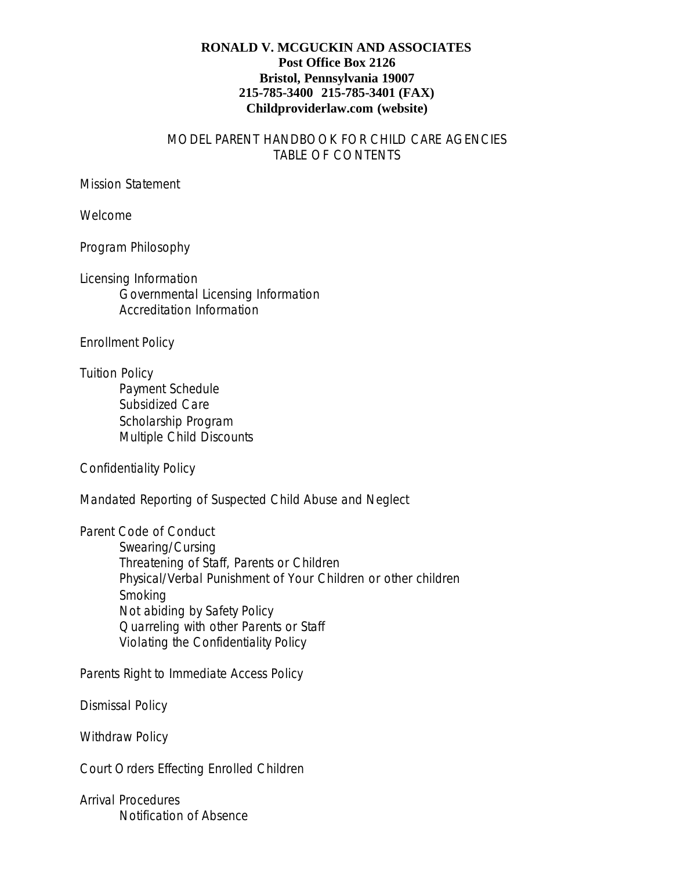## **RONALD V. MCGUCKIN AND ASSOCIATES Post Office Box 2126 Bristol, Pennsylvania 19007 215-785-3400 215-785-3401 (FAX) Childproviderlaw.com (website)**

## MODEL PARENT HANDBOOK FOR CHILD CARE AGENCIES TABLE OF CONTENTS

## Mission Statement

Welcome

Program Philosophy

Licensing Information Governmental Licensing Information Accreditation Information

Enrollment Policy

Tuition Policy Payment Schedule Subsidized Care Scholarship Program Multiple Child Discounts

Confidentiality Policy

Mandated Reporting of Suspected Child Abuse and Neglect

Parent Code of Conduct

Swearing/Cursing Threatening of Staff, Parents or Children Physical/Verbal Punishment of Your Children or other children Smoking Not abiding by Safety Policy Quarreling with other Parents or Staff Violating the Confidentiality Policy

Parents Right to Immediate Access Policy

Dismissal Policy

Withdraw Policy

Court Orders Effecting Enrolled Children

Arrival Procedures Notification of Absence